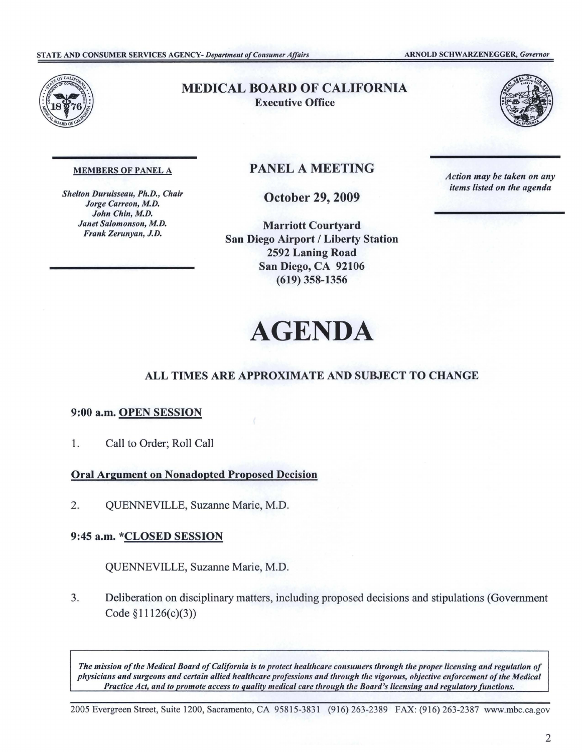

# MEDICAL BOARD OF CALIFORNIA Executive Office



#### MEMBERS OF PANEL A

*Shelton Duruisseau, Ph.D., Chair Jorge Carreon, M.D. John Chin, M.D. Janet Salomonson, M.D. Frank Zerunyan, J.D.* 

# PANEL A MEETING

October 29, 2009

Marriott Courtyard San Diego Airport / Liberty Station 2592 Laning Road San Diego, CA 92106 (619) 358-1356

*Action may be taken on any items listed on the agenda* 

# **AGENDA**

# **ALL TIMES ARE APPROXIMATE AND SUBJECT TO CHANGE**

## 9:00 **a.m. OPEN SESSION**

1. Call to Order; Roll Call

**Oral Argument on Nonadopted Proposed Decision** 

2. QUENNEVILLE, Suzanne Marie, M.D.

## 9:45 a.m. \*CLOSED SESSION

QUENNEVILLE, Suzanne Marie, M.D.

3. Deliberation on disciplinary matters, including proposed decisions and stipulations (Government Code §11126(c)(3))

The mission of the Medical Board of California is to protect healthcare consumers through the proper licensing and regulation of *physicians and surgeons and certain allied healthcare professions and through the vigorous, objective enforcement ofthe Medical Practice Act, and to promote access to quality medical care through the Board's licensing and regulatory functions.* 

2005 Evergreen Street, Suite 1200, Sacramento, CA 95815-3831 (916) 263-2389 FAX: (916) 263-2387 <www.mbc.ca.gov>